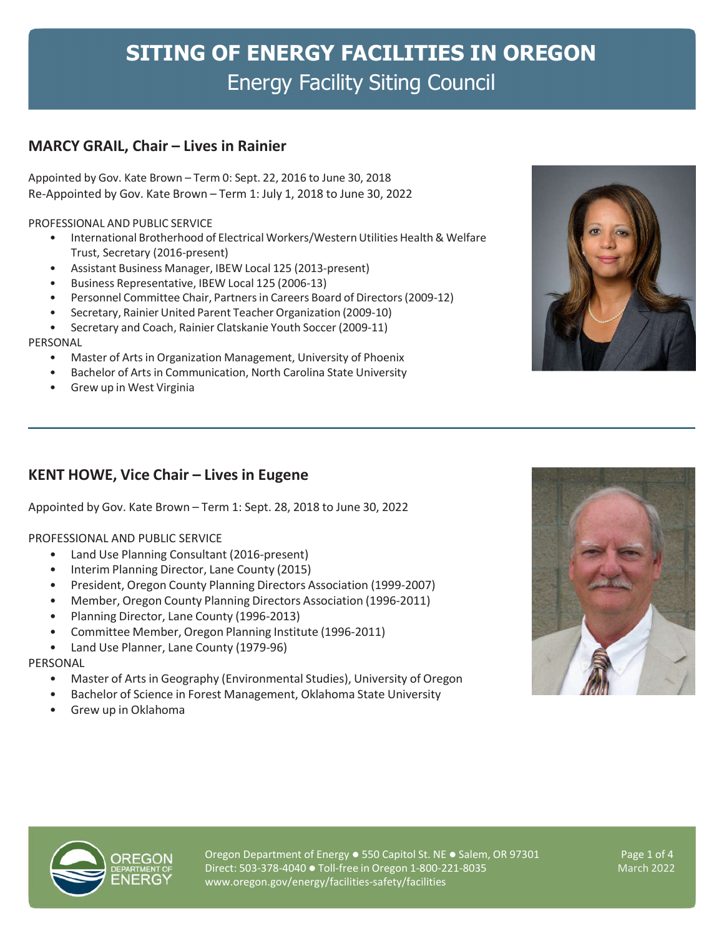# **SITING OF ENERGY FACILITIES IN OREGON** Energy Facility Siting Council

# **MARCY GRAIL, Chair – Lives in Rainier**

Appointed by Gov. Kate Brown – Term 0: Sept. 22, 2016 to June 30, 2018 Re-Appointed by Gov. Kate Brown – Term 1: July 1, 2018 to June 30, 2022

PROFESSIONAL AND PUBLIC SERVICE

- International Brotherhood of Electrical Workers/Western Utilities Health & Welfare Trust, Secretary (2016-present)
- Assistant Business Manager, IBEW Local 125 (2013-present)
- Business Representative, IBEW Local 125 (2006-13)
- Personnel Committee Chair, Partners in Careers Board of Directors (2009-12)
- Secretary, Rainier United Parent Teacher Organization (2009-10)
- Secretary and Coach, Rainier Clatskanie Youth Soccer (2009-11)

### PERSONAL

- Master of Arts in Organization Management, University of Phoenix
- Bachelor of Arts in Communication, North Carolina State University
- Grew up in West Virginia

## **KENT HOWE, Vice Chair – Lives in Eugene**

Appointed by Gov. Kate Brown – Term 1: Sept. 28, 2018 to June 30, 2022

### PROFESSIONAL AND PUBLIC SERVICE

- Land Use Planning Consultant (2016-present)
- Interim Planning Director, Lane County (2015)
- President, Oregon County Planning Directors Association (1999-2007)
- Member, Oregon County Planning Directors Association (1996-2011)
- Planning Director, Lane County (1996-2013)
- Committee Member, Oregon Planning Institute (1996-2011)
- Land Use Planner, Lane County (1979-96)

### PERSONAL

- Master of Arts in Geography (Environmental Studies), University of Oregon
- Bachelor of Science in Forest Management, Oklahoma State University
- Grew up in Oklahoma





Oregon Department of Energy · 550 Capitol St. NE · Salem, OR 97301 Direct: 503-378-4040 Toll-free in Oregon 1-800-221-8035 www.oregon.gov/energy/facilities-safety/facilities

Page 1 of 4 March 2022

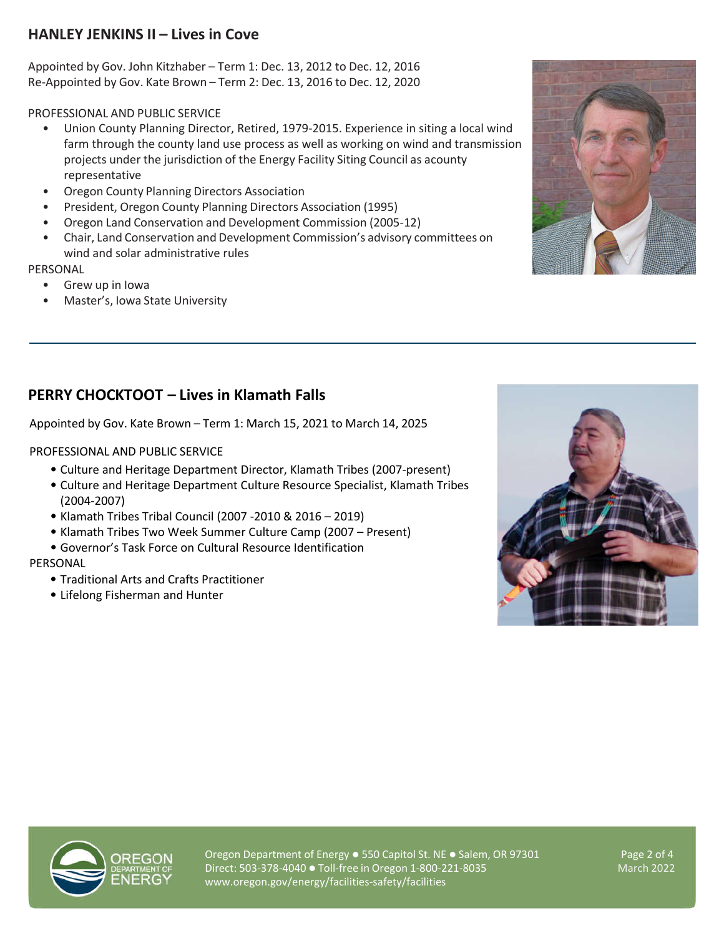# **HANLEY JENKINS II – Lives in Cove**

Appointed by Gov. John Kitzhaber – Term 1: Dec. 13, 2012 to Dec. 12, 2016 Re-Appointed by Gov. Kate Brown – Term 2: Dec. 13, 2016 to Dec. 12, 2020

PROFESSIONAL AND PUBLIC SERVICE

- Union County Planning Director, Retired, 1979-2015. Experience in siting a local wind farm through the county land use process as well as working on wind and transmission projects under the jurisdiction of the Energy Facility Siting Council as acounty representative
- Oregon County Planning Directors Association
- President, Oregon County Planning Directors Association (1995)
- Oregon Land Conservation and Development Commission (2005-12)
- Chair, Land Conservation and Development Commission's advisory committees on wind and solar administrative rules

## PERSONAL

- Grew up in Iowa
- Master's, Iowa State University



# **PERRY CHOCKTOOT – Lives in Klamath Falls**

Appointed by Gov. Kate Brown – Term 1: March 15, 2021 to March 14, 2025

PROFESSIONAL AND PUBLIC SERVICE

- Culture and Heritage Department Director, Klamath Tribes (2007-present)
- Culture and Heritage Department Culture Resource Specialist, Klamath Tribes (2004-2007)
- Klamath Tribes Tribal Council (2007 -2010 & 2016 2019)
- Klamath Tribes Two Week Summer Culture Camp (2007 Present)
- Governor's Task Force on Cultural Resource Identification

PERSONAL

- Traditional Arts and Crafts Practitioner
- Lifelong Fisherman and Hunter





Oregon Department of Energy  $\bullet$  550 Capitol St. NE  $\bullet$  Salem, OR 97301 Direct: 503-378-4040 Toll-free in Oregon 1-800-221-8035 www.oregon.gov/energy/facilities-safety/facilities

Page 2 of 4 March 2022